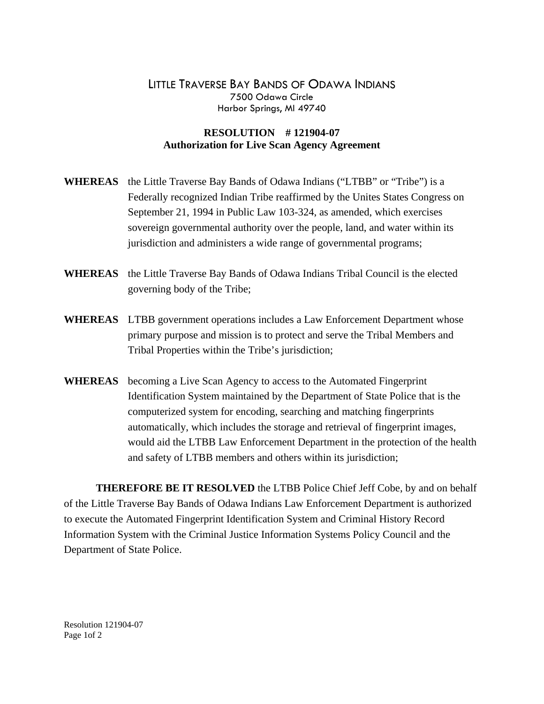## LITTLE TRAVERSE BAY BANDS OF ODAWA INDIANS 7500 Odawa Circle Harbor Springs, MI 49740

## **RESOLUTION # 121904-07 Authorization for Live Scan Agency Agreement**

- **WHEREAS** the Little Traverse Bay Bands of Odawa Indians ("LTBB" or "Tribe") is a Federally recognized Indian Tribe reaffirmed by the Unites States Congress on September 21, 1994 in Public Law 103-324, as amended, which exercises sovereign governmental authority over the people, land, and water within its jurisdiction and administers a wide range of governmental programs;
- **WHEREAS** the Little Traverse Bay Bands of Odawa Indians Tribal Council is the elected governing body of the Tribe;
- **WHEREAS** LTBB government operations includes a Law Enforcement Department whose primary purpose and mission is to protect and serve the Tribal Members and Tribal Properties within the Tribe's jurisdiction;
- **WHEREAS** becoming a Live Scan Agency to access to the Automated Fingerprint Identification System maintained by the Department of State Police that is the computerized system for encoding, searching and matching fingerprints automatically, which includes the storage and retrieval of fingerprint images, would aid the LTBB Law Enforcement Department in the protection of the health and safety of LTBB members and others within its jurisdiction;

 **THEREFORE BE IT RESOLVED** the LTBB Police Chief Jeff Cobe, by and on behalf of the Little Traverse Bay Bands of Odawa Indians Law Enforcement Department is authorized to execute the Automated Fingerprint Identification System and Criminal History Record Information System with the Criminal Justice Information Systems Policy Council and the Department of State Police.

Resolution 121904-07 Page 1of 2